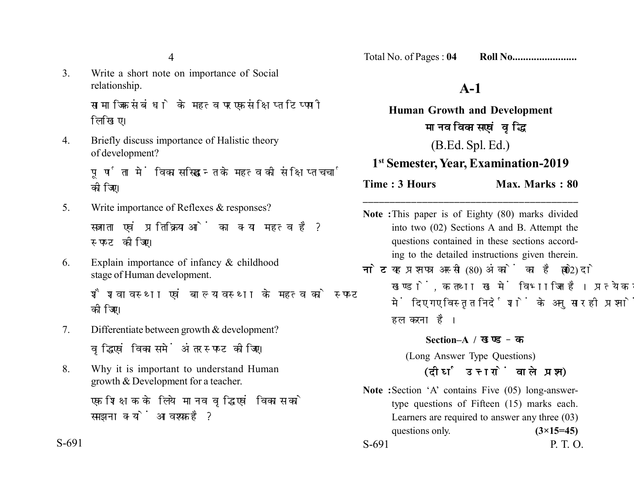4

3. Write a short note on importance of Social relationship.

> सामाजिक संबंधो के महत्व पर एक संक्षिप्त टिप्पणी लिखिए।

4. Briefly discuss importance of Halistic theory of development?

> पूर्णता में विकास सिद्धान्त के महत्व की संक्षिप्त चर्चा कोजिए।

- 5. Write importance of Reflexes & responses? सजगता एवं प्रतिक्रियाओं का क्या महत्व है? स्पष्ट कीजिए।
- 6. Explain importance of infancy & childhood stage of Human development. शैशवावस्था एवं बाल्यावस्था के महत्व को स्पष्ट

कोजिए।

- 7. Differentiate between growth & development? वद्धि एवं विकास में अंतर स्पष्ट कोजिए।
- 8. Why it is important to understand Human growth & Development for a teacher.

एक शिक्षक के लिये मानव वद्धि एवं विकास को समझना क्यों आवश्यक है?

Total No. of Pages : **04 Roll No........................**

# **A-1**

**Human Growth and Development** मानव विकास एवं वृद्धि (B.Ed. Spl. Ed.)

### **1st Semester, Year, Examination-2019**

**Time : 3 Hours** Max. Marks : 80

**Note :**This paper is of Eighty (80) marks divided into two (02) Sections A and B. Attempt the questions contained in these sections according to the detailed instructions given therein.

**\_\_\_\_\_\_\_\_\_\_\_\_\_\_\_\_\_\_\_\_\_\_\_\_\_\_\_\_\_\_\_\_\_\_\_\_\_\_\_\_**

**नोट:** यह प्रश्नपत्र अस्सी (80) अंकों का है जो दो (02) खण्डों. क तथा ख में विभाजित है। प्रत्येक खण्ड में दिए गए विस्तृत निर्देशों के अनुसार ही प्रश्नों को हल करना है।

### **Section–A /**

(Long Answer Type Questions)

## *(दीर्घ उत्तरों वाले प्रश्न)*

**Note :**Section 'A' contains Five (05) long-answertype questions of Fifteen (15) marks each. Learners are required to answer any three (03) questions only.  $(3\times15=45)$ S-691 P. T. O.